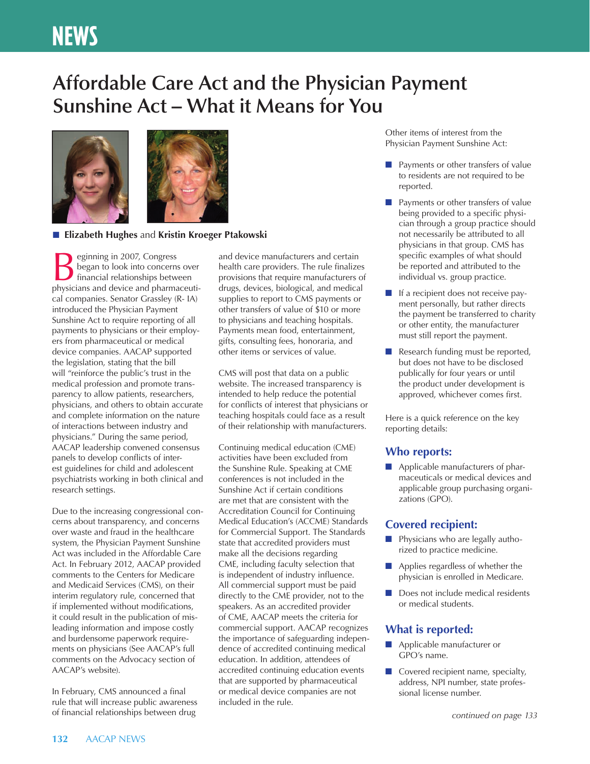# **NEWS**

## **Affordable Care Act and the Physician Payment Sunshine Act – What it Means for You**



### ■ **Elizabeth Hughes** and **Kristin Kroeger Ptakowski**

**BEGINDER**<br> **EXECUTE:** Superior block into concerns over<br>
financial relationships between<br>
physicians and device and pharmaceus began to look into concerns over physicians and device and pharmaceutical companies. Senator Grassley (R- IA) introduced the Physician Payment Sunshine Act to require reporting of all payments to physicians or their employers from pharmaceutical or medical device companies. AACAP supported the legislation, stating that the bill will "reinforce the public's trust in the medical profession and promote transparency to allow patients, researchers, physicians, and others to obtain accurate and complete information on the nature of interactions between industry and physicians." During the same period, AACAP leadership convened consensus panels to develop conflicts of interest guidelines for child and adolescent psychiatrists working in both clinical and research settings.

Due to the increasing congressional concerns about transparency, and concerns over waste and fraud in the healthcare system, the Physician Payment Sunshine Act was included in the Affordable Care Act. In February 2012, AACAP provided comments to the Centers for Medicare and Medicaid Services (CMS), on their interim regulatory rule, concerned that if implemented without modifications, it could result in the publication of misleading information and impose costly and burdensome paperwork requirements on physicians (See AACAP's full comments on the Advocacy section of AACAP's website).

In February, CMS announced a final rule that will increase public awareness of financial relationships between drug

and device manufacturers and certain health care providers. The rule finalizes provisions that require manufacturers of drugs, devices, biological, and medical supplies to report to CMS payments or other transfers of value of \$10 or more to physicians and teaching hospitals. Payments mean food, entertainment, gifts, consulting fees, honoraria, and other items or services of value.

CMS will post that data on a public website. The increased transparency is intended to help reduce the potential for conflicts of interest that physicians or teaching hospitals could face as a result of their relationship with manufacturers.

Continuing medical education (CME) activities have been excluded from the Sunshine Rule. Speaking at CME conferences is not included in the Sunshine Act if certain conditions are met that are consistent with the Accreditation Council for Continuing Medical Education's (ACCME) Standards for Commercial Support. The Standards state that accredited providers must make all the decisions regarding CME, including faculty selection that is independent of industry influence. All commercial support must be paid directly to the CME provider, not to the speakers. As an accredited provider of CME, AACAP meets the criteria for commercial support. AACAP recognizes the importance of safeguarding independence of accredited continuing medical education. In addition, attendees of accredited continuing education events that are supported by pharmaceutical or medical device companies are not included in the rule.

Other items of interest from the Physician Payment Sunshine Act:

- Payments or other transfers of value to residents are not required to be reported.
- Payments or other transfers of value being provided to a specific physician through a group practice should not necessarily be attributed to all physicians in that group. CMS has specific examples of what should be reported and attributed to the individual vs. group practice.
- If a recipient does not receive payment personally, but rather directs the payment be transferred to charity or other entity, the manufacturer must still report the payment.
- Research funding must be reported, but does not have to be disclosed publically for four years or until the product under development is approved, whichever comes first.

Here is a quick reference on the key reporting details:

## **Who reports:**

■ Applicable manufacturers of pharmaceuticals or medical devices and applicable group purchasing organizations (GPO).

## **Covered recipient:**

- Physicians who are legally authorized to practice medicine.
- Applies regardless of whether the physician is enrolled in Medicare.
- Does not include medical residents or medical students.

## **What is reported:**

- Applicable manufacturer or GPO's name.
- Covered recipient name, specialty, address, NPI number, state professional license number.